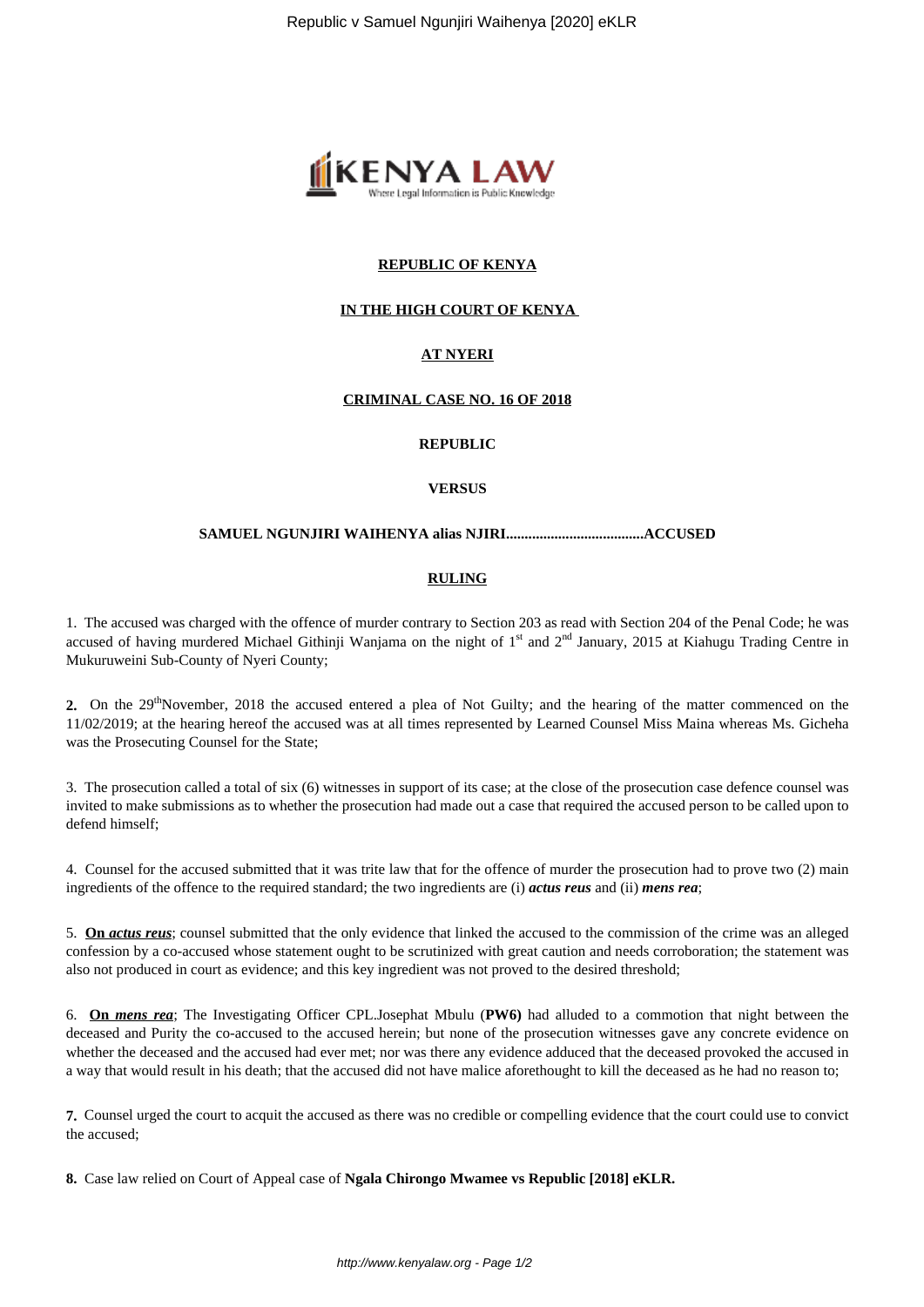

## **REPUBLIC OF KENYA**

## **IN THE HIGH COURT OF KENYA**

# **AT NYERI**

### **CRIMINAL CASE NO. 16 OF 2018**

### **REPUBLIC**

### **VERSUS**

#### **SAMUEL NGUNJIRI WAIHENYA alias NJIRI.....................................ACCUSED**

### **RULING**

1. The accused was charged with the offence of murder contrary to Section 203 as read with Section 204 of the Penal Code; he was accused of having murdered Michael Githinji Wanjama on the night of  $1<sup>st</sup>$  and  $2<sup>nd</sup>$  January, 2015 at Kiahugu Trading Centre in Mukuruweini Sub-County of Nyeri County;

**2.** On the 29<sup>th</sup>November, 2018 the accused entered a plea of Not Guilty; and the hearing of the matter commenced on the 11/02/2019; at the hearing hereof the accused was at all times represented by Learned Counsel Miss Maina whereas Ms. Gicheha was the Prosecuting Counsel for the State;

3. The prosecution called a total of six (6) witnesses in support of its case; at the close of the prosecution case defence counsel was invited to make submissions as to whether the prosecution had made out a case that required the accused person to be called upon to defend himself;

4. Counsel for the accused submitted that it was trite law that for the offence of murder the prosecution had to prove two (2) main ingredients of the offence to the required standard; the two ingredients are (i) *actus reus* and (ii) *mens rea*;

5. **On** *actus reus*; counsel submitted that the only evidence that linked the accused to the commission of the crime was an alleged confession by a co-accused whose statement ought to be scrutinized with great caution and needs corroboration; the statement was also not produced in court as evidence; and this key ingredient was not proved to the desired threshold;

6. **On** *mens rea*; The Investigating Officer CPL.Josephat Mbulu (**PW6)** had alluded to a commotion that night between the deceased and Purity the co-accused to the accused herein; but none of the prosecution witnesses gave any concrete evidence on whether the deceased and the accused had ever met; nor was there any evidence adduced that the deceased provoked the accused in a way that would result in his death; that the accused did not have malice aforethought to kill the deceased as he had no reason to;

**7.** Counsel urged the court to acquit the accused as there was no credible or compelling evidence that the court could use to convict the accused;

**8.** Case law relied on Court of Appeal case of **Ngala Chirongo Mwamee vs Republic [2018] eKLR.**